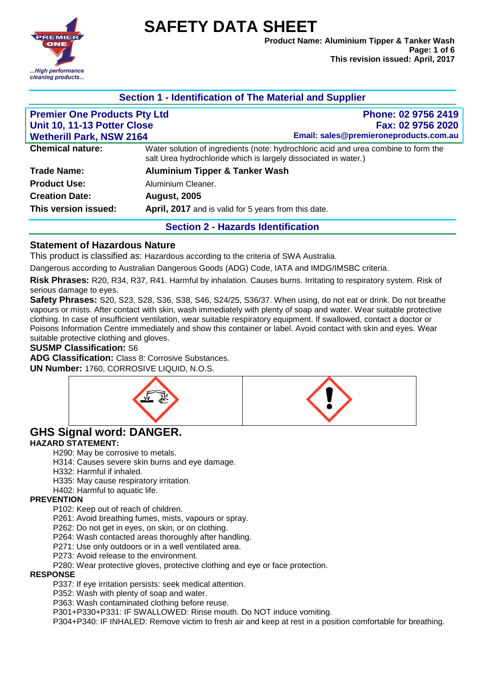**SAFETY DATA SHEET**



## **Section 1 - Identification of The Material and Supplier**

| <b>Premier One Products Pty Ltd</b><br>Unit 10, 11-13 Potter Close<br><b>Wetherill Park, NSW 2164</b> | Phone: 02 9756 2419<br>Fax: 02 9756 2020<br>Email: sales@premieroneproducts.com.au                                                                     |
|-------------------------------------------------------------------------------------------------------|--------------------------------------------------------------------------------------------------------------------------------------------------------|
| <b>Chemical nature:</b>                                                                               | Water solution of ingredients (note: hydrochloric acid and urea combine to form the<br>salt Urea hydrochloride which is largely dissociated in water.) |
| <b>Trade Name:</b>                                                                                    | <b>Aluminium Tipper &amp; Tanker Wash</b>                                                                                                              |
| <b>Product Use:</b>                                                                                   | Aluminium Cleaner.                                                                                                                                     |
| <b>Creation Date:</b>                                                                                 | <b>August, 2005</b>                                                                                                                                    |
| This version issued:                                                                                  | April, 2017 and is valid for 5 years from this date.                                                                                                   |
|                                                                                                       | <b>Section 2 - Hazards Identification</b>                                                                                                              |

#### **Statement of Hazardous Nature**

This product is classified as: Hazardous according to the criteria of SWA Australia.

Dangerous according to Australian Dangerous Goods (ADG) Code, IATA and IMDG/IMSBC criteria.

**Risk Phrases:** R20, R34, R37, R41. Harmful by inhalation. Causes burns. Irritating to respiratory system. Risk of serious damage to eyes.

**Safety Phrases:** S20, S23, S28, S36, S38, S46, S24/25, S36/37. When using, do not eat or drink. Do not breathe vapours or mists. After contact with skin, wash immediately with plenty of soap and water. Wear suitable protective clothing. In case of insufficient ventilation, wear suitable respiratory equipment. If swallowed, contact a doctor or Poisons Information Centre immediately and show this container or label. Avoid contact with skin and eyes. Wear suitable protective clothing and gloves.

#### **SUSMP Classification:** S6

**ADG Classification:** Class 8: Corrosive Substances.

**UN Number:** 1760, CORROSIVE LIQUID, N.O.S.



# **GHS Signal word: DANGER.**

#### **HAZARD STATEMENT:**

H290: May be corrosive to metals.

H314: Causes severe skin burns and eye damage.

- H332: Harmful if inhaled.
- H335: May cause respiratory irritation.

H402: Harmful to aquatic life.

#### **PREVENTION**

P102: Keep out of reach of children.

P261: Avoid breathing fumes, mists, vapours or spray.

P262: Do not get in eyes, on skin, or on clothing.

P264: Wash contacted areas thoroughly after handling.

P271: Use only outdoors or in a well ventilated area.

P273: Avoid release to the environment.

P280: Wear protective gloves, protective clothing and eye or face protection.

#### **RESPONSE**

P337: If eye irritation persists: seek medical attention.

P352: Wash with plenty of soap and water.

P363: Wash contaminated clothing before reuse.

P301+P330+P331: IF SWALLOWED: Rinse mouth. Do NOT induce vomiting.

P304+P340: IF INHALED: Remove victim to fresh air and keep at rest in a position comfortable for breathing.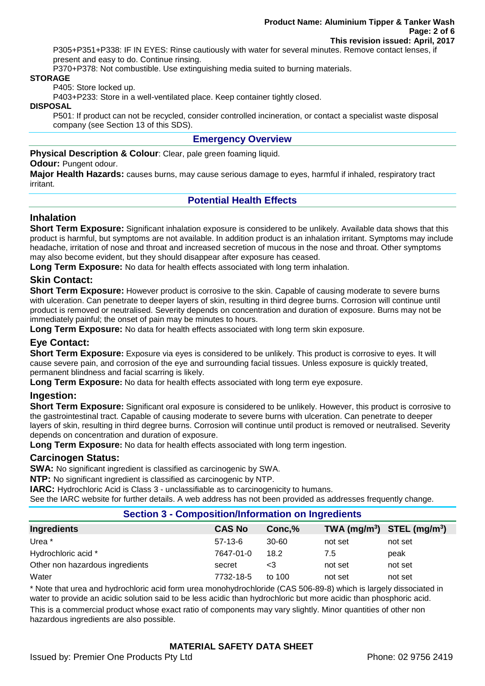P305+P351+P338: IF IN EYES: Rinse cautiously with water for several minutes. Remove contact lenses, if present and easy to do. Continue rinsing.

P370+P378: Not combustible. Use extinguishing media suited to burning materials.

#### **STORAGE**

P405: Store locked up.

P403+P233: Store in a well-ventilated place. Keep container tightly closed.

**DISPOSAL**

P501: If product can not be recycled, consider controlled incineration, or contact a specialist waste disposal company (see Section 13 of this SDS).

## **Emergency Overview**

**Physical Description & Colour:** Clear, pale green foaming liquid.

#### **Odour: Pungent odour.**

**Major Health Hazards:** causes burns, may cause serious damage to eyes, harmful if inhaled, respiratory tract irritant.

# **Potential Health Effects**

## **Inhalation**

**Short Term Exposure:** Significant inhalation exposure is considered to be unlikely. Available data shows that this product is harmful, but symptoms are not available. In addition product is an inhalation irritant. Symptoms may include headache, irritation of nose and throat and increased secretion of mucous in the nose and throat. Other symptoms may also become evident, but they should disappear after exposure has ceased.

**Long Term Exposure:** No data for health effects associated with long term inhalation.

## **Skin Contact:**

**Short Term Exposure:** However product is corrosive to the skin. Capable of causing moderate to severe burns with ulceration. Can penetrate to deeper layers of skin, resulting in third degree burns. Corrosion will continue until product is removed or neutralised. Severity depends on concentration and duration of exposure. Burns may not be immediately painful; the onset of pain may be minutes to hours.

**Long Term Exposure:** No data for health effects associated with long term skin exposure.

# **Eye Contact:**

**Short Term Exposure:** Exposure via eyes is considered to be unlikely. This product is corrosive to eyes. It will cause severe pain, and corrosion of the eye and surrounding facial tissues. Unless exposure is quickly treated, permanent blindness and facial scarring is likely.

**Long Term Exposure:** No data for health effects associated with long term eye exposure.

## **Ingestion:**

**Short Term Exposure:** Significant oral exposure is considered to be unlikely. However, this product is corrosive to the gastrointestinal tract. Capable of causing moderate to severe burns with ulceration. Can penetrate to deeper layers of skin, resulting in third degree burns. Corrosion will continue until product is removed or neutralised. Severity depends on concentration and duration of exposure.

**Long Term Exposure:** No data for health effects associated with long term ingestion.

#### **Carcinogen Status:**

**SWA:** No significant ingredient is classified as carcinogenic by SWA.

**NTP:** No significant ingredient is classified as carcinogenic by NTP.

**IARC:** Hydrochloric Acid is Class 3 - unclassifiable as to carcinogenicity to humans.

See the IARC website for further details. A web address has not been provided as addresses frequently change.

#### **Section 3 - Composition/Information on Ingredients**

| Ingredients                     | <b>CAS No</b> | Conc.%    | TWA $(mg/m^3)$ STEL $(mg/m^3)$ |         |
|---------------------------------|---------------|-----------|--------------------------------|---------|
| Urea <sup>*</sup>               | $57-13-6$     | $30 - 60$ | not set                        | not set |
| Hydrochloric acid *             | 7647-01-0     | 18.2      | 7.5                            | peak    |
| Other non hazardous ingredients | secret        | <3        | not set                        | not set |
| Water                           | 7732-18-5     | to 100    | not set                        | not set |

\* Note that urea and hydrochloric acid form urea monohydrochloride (CAS 506-89-8) which is largely dissociated in water to provide an acidic solution said to be less acidic than hydrochloric but more acidic than phosphoric acid.

This is a commercial product whose exact ratio of components may vary slightly. Minor quantities of other non hazardous ingredients are also possible.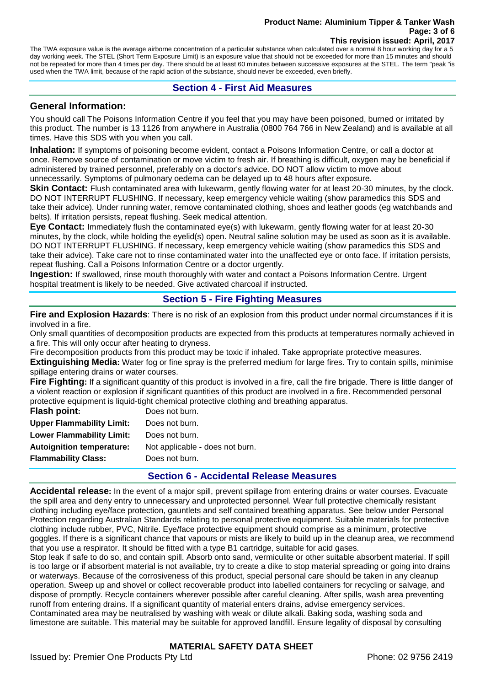#### **Product Name: Aluminium Tipper & Tanker Wash Page: 3 of 6 This revision issued: April, 2017**

The TWA exposure value is the average airborne concentration of a particular substance when calculated over a normal 8 hour working day for a 5 day working week. The STEL (Short Term Exposure Limit) is an exposure value that should not be exceeded for more than 15 minutes and should not be repeated for more than 4 times per day. There should be at least 60 minutes between successive exposures at the STEL. The term "peak "is used when the TWA limit, because of the rapid action of the substance, should never be exceeded, even briefly.

## **Section 4 - First Aid Measures**

## **General Information:**

You should call The Poisons Information Centre if you feel that you may have been poisoned, burned or irritated by this product. The number is 13 1126 from anywhere in Australia (0800 764 766 in New Zealand) and is available at all times. Have this SDS with you when you call.

**Inhalation:** If symptoms of poisoning become evident, contact a Poisons Information Centre, or call a doctor at once. Remove source of contamination or move victim to fresh air. If breathing is difficult, oxygen may be beneficial if administered by trained personnel, preferably on a doctor's advice. DO NOT allow victim to move about unnecessarily. Symptoms of pulmonary oedema can be delayed up to 48 hours after exposure.

Skin Contact: Flush contaminated area with lukewarm, gently flowing water for at least 20-30 minutes, by the clock. DO NOT INTERRUPT FLUSHING. If necessary, keep emergency vehicle waiting (show paramedics this SDS and take their advice). Under running water, remove contaminated clothing, shoes and leather goods (eg watchbands and belts). If irritation persists, repeat flushing. Seek medical attention.

**Eye Contact:** Immediately flush the contaminated eye(s) with lukewarm, gently flowing water for at least 20-30 minutes, by the clock, while holding the eyelid(s) open. Neutral saline solution may be used as soon as it is available. DO NOT INTERRUPT FLUSHING. If necessary, keep emergency vehicle waiting (show paramedics this SDS and take their advice). Take care not to rinse contaminated water into the unaffected eye or onto face. If irritation persists, repeat flushing. Call a Poisons Information Centre or a doctor urgently.

**Ingestion:** If swallowed, rinse mouth thoroughly with water and contact a Poisons Information Centre. Urgent hospital treatment is likely to be needed. Give activated charcoal if instructed.

# **Section 5 - Fire Fighting Measures**

**Fire and Explosion Hazards**: There is no risk of an explosion from this product under normal circumstances if it is involved in a fire.

Only small quantities of decomposition products are expected from this products at temperatures normally achieved in a fire. This will only occur after heating to dryness.

Fire decomposition products from this product may be toxic if inhaled. Take appropriate protective measures.

**Extinguishing Media:** Water fog or fine spray is the preferred medium for large fires. Try to contain spills, minimise spillage entering drains or water courses.

**Fire Fighting:** If a significant quantity of this product is involved in a fire, call the fire brigade. There is little danger of a violent reaction or explosion if significant quantities of this product are involved in a fire. Recommended personal protective equipment is liquid-tight chemical protective clothing and breathing apparatus.

| Flash point:                     | Does not burn.                  |
|----------------------------------|---------------------------------|
| <b>Upper Flammability Limit:</b> | Does not burn.                  |
| <b>Lower Flammability Limit:</b> | Does not burn.                  |
| <b>Autoignition temperature:</b> | Not applicable - does not burn. |
| <b>Flammability Class:</b>       | Does not burn.                  |
|                                  |                                 |

## **Section 6 - Accidental Release Measures**

**Accidental release:** In the event of a major spill, prevent spillage from entering drains or water courses. Evacuate the spill area and deny entry to unnecessary and unprotected personnel. Wear full protective chemically resistant clothing including eye/face protection, gauntlets and self contained breathing apparatus. See below under Personal Protection regarding Australian Standards relating to personal protective equipment. Suitable materials for protective clothing include rubber, PVC, Nitrile. Eye/face protective equipment should comprise as a minimum, protective goggles. If there is a significant chance that vapours or mists are likely to build up in the cleanup area, we recommend that you use a respirator. It should be fitted with a type B1 cartridge, suitable for acid gases.

Stop leak if safe to do so, and contain spill. Absorb onto sand, vermiculite or other suitable absorbent material. If spill is too large or if absorbent material is not available, try to create a dike to stop material spreading or going into drains or waterways. Because of the corrosiveness of this product, special personal care should be taken in any cleanup operation. Sweep up and shovel or collect recoverable product into labelled containers for recycling or salvage, and dispose of promptly. Recycle containers wherever possible after careful cleaning. After spills, wash area preventing runoff from entering drains. If a significant quantity of material enters drains, advise emergency services. Contaminated area may be neutralised by washing with weak or dilute alkali. Baking soda, washing soda and limestone are suitable. This material may be suitable for approved landfill. Ensure legality of disposal by consulting

# **MATERIAL SAFETY DATA SHEET**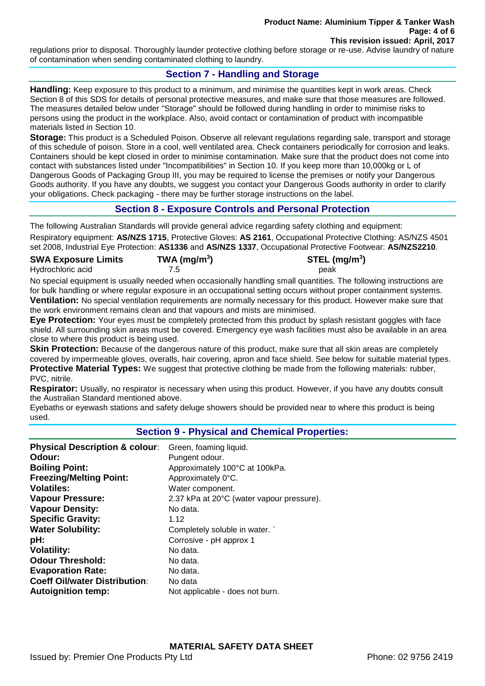regulations prior to disposal. Thoroughly launder protective clothing before storage or re-use. Advise laundry of nature of contamination when sending contaminated clothing to laundry.

# **Section 7 - Handling and Storage**

**Handling:** Keep exposure to this product to a minimum, and minimise the quantities kept in work areas. Check Section 8 of this SDS for details of personal protective measures, and make sure that those measures are followed. The measures detailed below under "Storage" should be followed during handling in order to minimise risks to persons using the product in the workplace. Also, avoid contact or contamination of product with incompatible materials listed in Section 10.

**Storage:** This product is a Scheduled Poison. Observe all relevant regulations regarding sale, transport and storage of this schedule of poison. Store in a cool, well ventilated area. Check containers periodically for corrosion and leaks. Containers should be kept closed in order to minimise contamination. Make sure that the product does not come into contact with substances listed under "Incompatibilities" in Section 10. If you keep more than 10,000kg or L of Dangerous Goods of Packaging Group III, you may be required to license the premises or notify your Dangerous Goods authority. If you have any doubts, we suggest you contact your Dangerous Goods authority in order to clarify your obligations. Check packaging - there may be further storage instructions on the label.

# **Section 8 - Exposure Controls and Personal Protection**

The following Australian Standards will provide general advice regarding safety clothing and equipment: Respiratory equipment: **AS/NZS 1715**, Protective Gloves: **AS 2161**, Occupational Protective Clothing: AS/NZS 4501 set 2008, Industrial Eye Protection: **AS1336** and **AS/NZS 1337**, Occupational Protective Footwear: **AS/NZS2210**.

| <b>SWA Exposure Limits</b> | TWA ( $mg/m3$ ) | $STEL$ (mg/m <sup>3</sup> ) |
|----------------------------|-----------------|-----------------------------|
| Hydrochloric acid          |                 | peak                        |

No special equipment is usually needed when occasionally handling small quantities. The following instructions are for bulk handling or where regular exposure in an occupational setting occurs without proper containment systems. **Ventilation:** No special ventilation requirements are normally necessary for this product. However make sure that the work environment remains clean and that vapours and mists are minimised.

**Eye Protection:** Your eyes must be completely protected from this product by splash resistant goggles with face shield. All surrounding skin areas must be covered. Emergency eye wash facilities must also be available in an area close to where this product is being used.

**Skin Protection:** Because of the dangerous nature of this product, make sure that all skin areas are completely covered by impermeable gloves, overalls, hair covering, apron and face shield. See below for suitable material types. **Protective Material Types:** We suggest that protective clothing be made from the following materials: rubber, PVC, nitrile.

**Respirator:** Usually, no respirator is necessary when using this product. However, if you have any doubts consult the Australian Standard mentioned above.

Eyebaths or eyewash stations and safety deluge showers should be provided near to where this product is being used.

## **Section 9 - Physical and Chemical Properties:**

| <b>Physical Description &amp; colour:</b> | Green, foaming liquid.                    |
|-------------------------------------------|-------------------------------------------|
| Odour:                                    | Pungent odour.                            |
| <b>Boiling Point:</b>                     | Approximately 100°C at 100kPa.            |
| <b>Freezing/Melting Point:</b>            | Approximately 0°C.                        |
| <b>Volatiles:</b>                         | Water component.                          |
| <b>Vapour Pressure:</b>                   | 2.37 kPa at 20°C (water vapour pressure). |
| <b>Vapour Density:</b>                    | No data.                                  |
| <b>Specific Gravity:</b>                  | 1.12                                      |
| <b>Water Solubility:</b>                  | Completely soluble in water.              |
| pH:                                       | Corrosive - pH approx 1                   |
| <b>Volatility:</b>                        | No data.                                  |
| <b>Odour Threshold:</b>                   | No data.                                  |
| <b>Evaporation Rate:</b>                  | No data.                                  |
| <b>Coeff Oil/water Distribution:</b>      | No data                                   |
| <b>Autoignition temp:</b>                 | Not applicable - does not burn.           |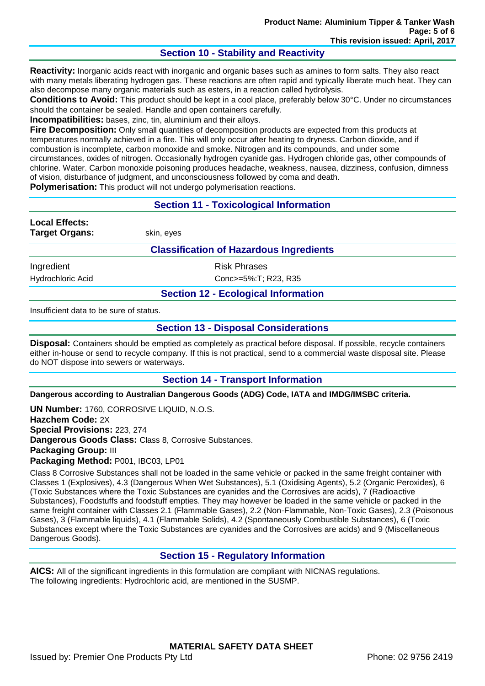# **Section 10 - Stability and Reactivity**

**Reactivity:** Inorganic acids react with inorganic and organic bases such as amines to form salts. They also react with many metals liberating hydrogen gas. These reactions are often rapid and typically liberate much heat. They can also decompose many organic materials such as esters, in a reaction called hydrolysis.

**Conditions to Avoid:** This product should be kept in a cool place, preferably below 30°C. Under no circumstances should the container be sealed. Handle and open containers carefully.

**Incompatibilities:** bases, zinc, tin, aluminium and their alloys.

**Fire Decomposition:** Only small quantities of decomposition products are expected from this products at temperatures normally achieved in a fire. This will only occur after heating to dryness. Carbon dioxide, and if combustion is incomplete, carbon monoxide and smoke. Nitrogen and its compounds, and under some circumstances, oxides of nitrogen. Occasionally hydrogen cyanide gas. Hydrogen chloride gas, other compounds of chlorine. Water. Carbon monoxide poisoning produces headache, weakness, nausea, dizziness, confusion, dimness of vision, disturbance of judgment, and unconsciousness followed by coma and death.

**Polymerisation:** This product will not undergo polymerisation reactions.

# **Section 11 - Toxicological Information**

**Local Effects: Target Organs:** skin, eyes

## **Classification of Hazardous Ingredients**

Ingredient **Risk Phrases** Hydrochloric Acid Conc>=5%:T; R23, R35

# **Section 12 - Ecological Information**

Insufficient data to be sure of status.

#### **Section 13 - Disposal Considerations**

**Disposal:** Containers should be emptied as completely as practical before disposal. If possible, recycle containers either in-house or send to recycle company. If this is not practical, send to a commercial waste disposal site. Please do NOT dispose into sewers or waterways.

## **Section 14 - Transport Information**

**Dangerous according to Australian Dangerous Goods (ADG) Code, IATA and IMDG/IMSBC criteria.**

**UN Number:** 1760, CORROSIVE LIQUID, N.O.S. **Hazchem Code:** 2X **Special Provisions:** 223, 274 **Dangerous Goods Class:** Class 8, Corrosive Substances. **Packaging Group:** III **Packaging Method:** P001, IBC03, LP01

Class 8 Corrosive Substances shall not be loaded in the same vehicle or packed in the same freight container with Classes 1 (Explosives), 4.3 (Dangerous When Wet Substances), 5.1 (Oxidising Agents), 5.2 (Organic Peroxides), 6 (Toxic Substances where the Toxic Substances are cyanides and the Corrosives are acids), 7 (Radioactive Substances), Foodstuffs and foodstuff empties. They may however be loaded in the same vehicle or packed in the same freight container with Classes 2.1 (Flammable Gases), 2.2 (Non-Flammable, Non-Toxic Gases), 2.3 (Poisonous Gases), 3 (Flammable liquids), 4.1 (Flammable Solids), 4.2 (Spontaneously Combustible Substances), 6 (Toxic Substances except where the Toxic Substances are cyanides and the Corrosives are acids) and 9 (Miscellaneous Dangerous Goods).

## **Section 15 - Regulatory Information**

**AICS:** All of the significant ingredients in this formulation are compliant with NICNAS regulations. The following ingredients: Hydrochloric acid, are mentioned in the SUSMP.